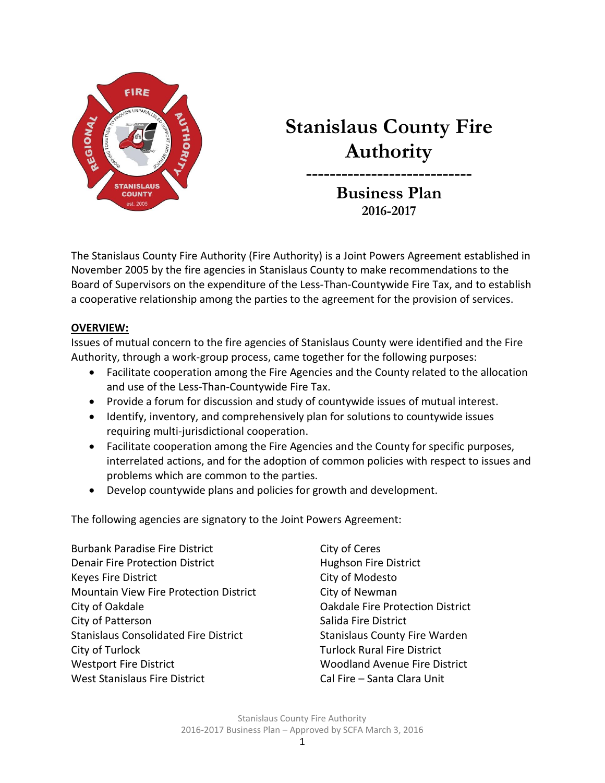

# **Stanislaus County Fire Authority**

**Business Plan 2016-2017**

**----------------------------**

The Stanislaus County Fire Authority (Fire Authority) is a Joint Powers Agreement established in November 2005 by the fire agencies in Stanislaus County to make recommendations to the Board of Supervisors on the expenditure of the Less-Than-Countywide Fire Tax, and to establish a cooperative relationship among the parties to the agreement for the provision of services.

#### **OVERVIEW:**

Issues of mutual concern to the fire agencies of Stanislaus County were identified and the Fire Authority, through a work-group process, came together for the following purposes:

- Facilitate cooperation among the Fire Agencies and the County related to the allocation and use of the Less-Than-Countywide Fire Tax.
- Provide a forum for discussion and study of countywide issues of mutual interest.
- Identify, inventory, and comprehensively plan for solutions to countywide issues requiring multi-jurisdictional cooperation.
- Facilitate cooperation among the Fire Agencies and the County for specific purposes, interrelated actions, and for the adoption of common policies with respect to issues and problems which are common to the parties.
- Develop countywide plans and policies for growth and development.

The following agencies are signatory to the Joint Powers Agreement:

Burbank Paradise Fire District City of Ceres Denair Fire Protection District **Hughson Fire District** Keyes Fire District **City of Modesto** Mountain View Fire Protection District City of Newman City of Oakdale Oakdale Fire Protection District City of Patterson City of Patterson Stanislaus Consolidated Fire District Stanislaus County Fire Warden City of Turlock Turlock **Turlock Turlock** Rural Fire District Westport Fire District Woodland Avenue Fire District West Stanislaus Fire District Cal Fire – Santa Clara Unit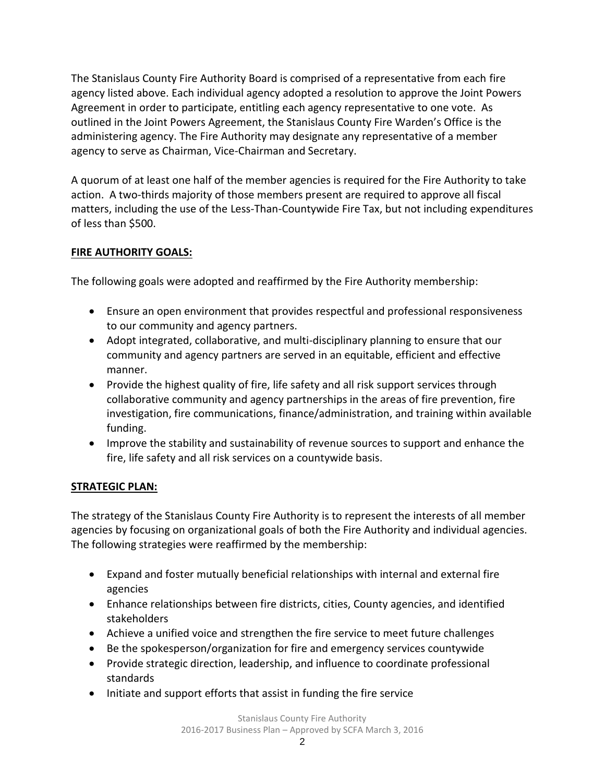The Stanislaus County Fire Authority Board is comprised of a representative from each fire agency listed above. Each individual agency adopted a resolution to approve the Joint Powers Agreement in order to participate, entitling each agency representative to one vote. As outlined in the Joint Powers Agreement, the Stanislaus County Fire Warden's Office is the administering agency. The Fire Authority may designate any representative of a member agency to serve as Chairman, Vice-Chairman and Secretary.

A quorum of at least one half of the member agencies is required for the Fire Authority to take action. A two-thirds majority of those members present are required to approve all fiscal matters, including the use of the Less-Than-Countywide Fire Tax, but not including expenditures of less than \$500.

#### **FIRE AUTHORITY GOALS:**

The following goals were adopted and reaffirmed by the Fire Authority membership:

- Ensure an open environment that provides respectful and professional responsiveness to our community and agency partners.
- Adopt integrated, collaborative, and multi-disciplinary planning to ensure that our community and agency partners are served in an equitable, efficient and effective manner.
- Provide the highest quality of fire, life safety and all risk support services through collaborative community and agency partnerships in the areas of fire prevention, fire investigation, fire communications, finance/administration, and training within available funding.
- Improve the stability and sustainability of revenue sources to support and enhance the fire, life safety and all risk services on a countywide basis.

#### **STRATEGIC PLAN:**

The strategy of the Stanislaus County Fire Authority is to represent the interests of all member agencies by focusing on organizational goals of both the Fire Authority and individual agencies. The following strategies were reaffirmed by the membership:

- Expand and foster mutually beneficial relationships with internal and external fire agencies
- Enhance relationships between fire districts, cities, County agencies, and identified stakeholders
- Achieve a unified voice and strengthen the fire service to meet future challenges
- Be the spokesperson/organization for fire and emergency services countywide
- Provide strategic direction, leadership, and influence to coordinate professional standards
- Initiate and support efforts that assist in funding the fire service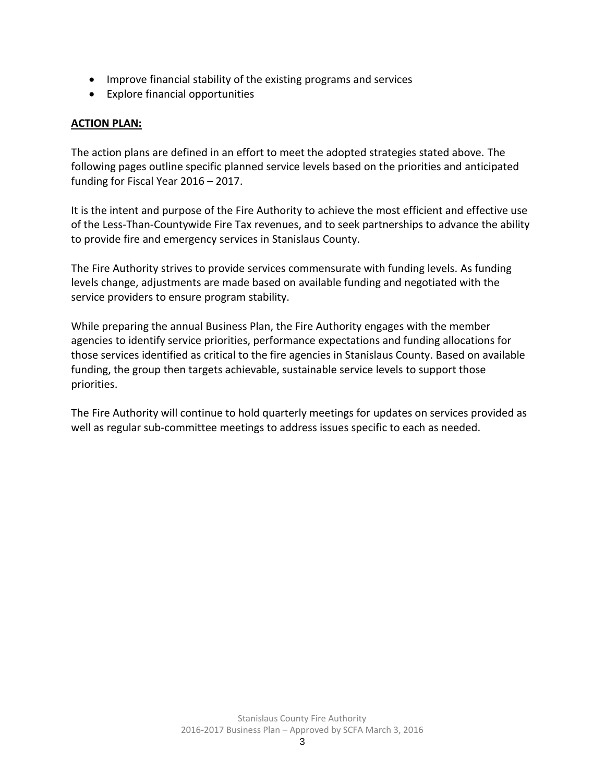- Improve financial stability of the existing programs and services
- Explore financial opportunities

#### **ACTION PLAN:**

The action plans are defined in an effort to meet the adopted strategies stated above. The following pages outline specific planned service levels based on the priorities and anticipated funding for Fiscal Year 2016 – 2017.

It is the intent and purpose of the Fire Authority to achieve the most efficient and effective use of the Less-Than-Countywide Fire Tax revenues, and to seek partnerships to advance the ability to provide fire and emergency services in Stanislaus County.

The Fire Authority strives to provide services commensurate with funding levels. As funding levels change, adjustments are made based on available funding and negotiated with the service providers to ensure program stability.

While preparing the annual Business Plan, the Fire Authority engages with the member agencies to identify service priorities, performance expectations and funding allocations for those services identified as critical to the fire agencies in Stanislaus County. Based on available funding, the group then targets achievable, sustainable service levels to support those priorities.

The Fire Authority will continue to hold quarterly meetings for updates on services provided as well as regular sub-committee meetings to address issues specific to each as needed.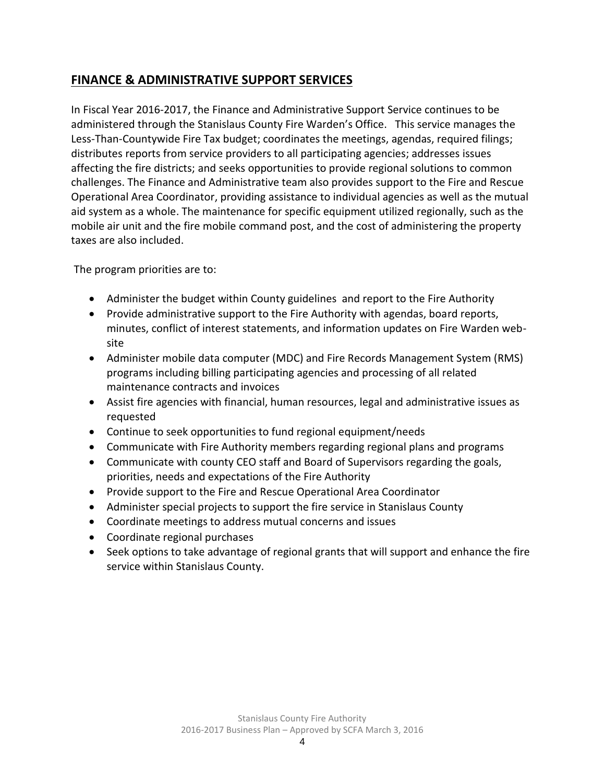# **FINANCE & ADMINISTRATIVE SUPPORT SERVICES**

In Fiscal Year 2016-2017, the Finance and Administrative Support Service continues to be administered through the Stanislaus County Fire Warden's Office. This service manages the Less-Than-Countywide Fire Tax budget; coordinates the meetings, agendas, required filings; distributes reports from service providers to all participating agencies; addresses issues affecting the fire districts; and seeks opportunities to provide regional solutions to common challenges. The Finance and Administrative team also provides support to the Fire and Rescue Operational Area Coordinator, providing assistance to individual agencies as well as the mutual aid system as a whole. The maintenance for specific equipment utilized regionally, such as the mobile air unit and the fire mobile command post, and the cost of administering the property taxes are also included.

The program priorities are to:

- Administer the budget within County guidelines and report to the Fire Authority
- Provide administrative support to the Fire Authority with agendas, board reports, minutes, conflict of interest statements, and information updates on Fire Warden website
- Administer mobile data computer (MDC) and Fire Records Management System (RMS) programs including billing participating agencies and processing of all related maintenance contracts and invoices
- Assist fire agencies with financial, human resources, legal and administrative issues as requested
- Continue to seek opportunities to fund regional equipment/needs
- Communicate with Fire Authority members regarding regional plans and programs
- Communicate with county CEO staff and Board of Supervisors regarding the goals, priorities, needs and expectations of the Fire Authority
- Provide support to the Fire and Rescue Operational Area Coordinator
- Administer special projects to support the fire service in Stanislaus County
- Coordinate meetings to address mutual concerns and issues
- Coordinate regional purchases
- Seek options to take advantage of regional grants that will support and enhance the fire service within Stanislaus County.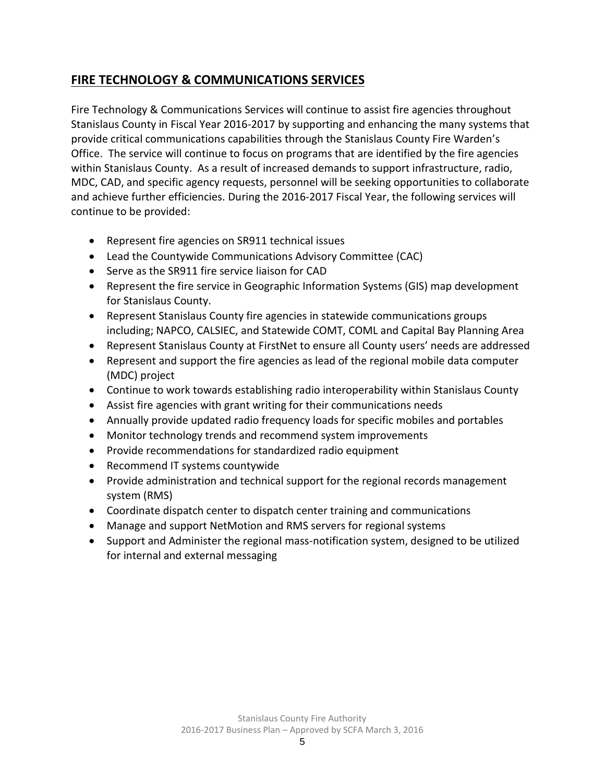# **FIRE TECHNOLOGY & COMMUNICATIONS SERVICES**

Fire Technology & Communications Services will continue to assist fire agencies throughout Stanislaus County in Fiscal Year 2016-2017 by supporting and enhancing the many systems that provide critical communications capabilities through the Stanislaus County Fire Warden's Office. The service will continue to focus on programs that are identified by the fire agencies within Stanislaus County. As a result of increased demands to support infrastructure, radio, MDC, CAD, and specific agency requests, personnel will be seeking opportunities to collaborate and achieve further efficiencies. During the 2016-2017 Fiscal Year, the following services will continue to be provided:

- Represent fire agencies on SR911 technical issues
- Lead the Countywide Communications Advisory Committee (CAC)
- Serve as the SR911 fire service liaison for CAD
- Represent the fire service in Geographic Information Systems (GIS) map development for Stanislaus County.
- Represent Stanislaus County fire agencies in statewide communications groups including; NAPCO, CALSIEC, and Statewide COMT, COML and Capital Bay Planning Area
- Represent Stanislaus County at FirstNet to ensure all County users' needs are addressed
- Represent and support the fire agencies as lead of the regional mobile data computer (MDC) project
- Continue to work towards establishing radio interoperability within Stanislaus County
- Assist fire agencies with grant writing for their communications needs
- Annually provide updated radio frequency loads for specific mobiles and portables
- Monitor technology trends and recommend system improvements
- Provide recommendations for standardized radio equipment
- Recommend IT systems countywide
- Provide administration and technical support for the regional records management system (RMS)
- Coordinate dispatch center to dispatch center training and communications
- Manage and support NetMotion and RMS servers for regional systems
- Support and Administer the regional mass-notification system, designed to be utilized for internal and external messaging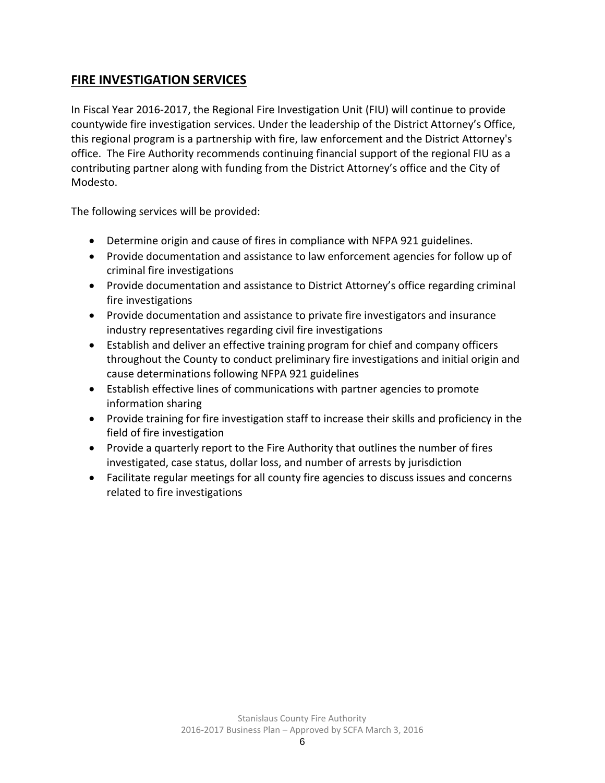# **FIRE INVESTIGATION SERVICES**

In Fiscal Year 2016-2017, the Regional Fire Investigation Unit (FIU) will continue to provide countywide fire investigation services. Under the leadership of the District Attorney's Office, this regional program is a partnership with fire, law enforcement and the District Attorney's office. The Fire Authority recommends continuing financial support of the regional FIU as a contributing partner along with funding from the District Attorney's office and the City of Modesto.

The following services will be provided:

- Determine origin and cause of fires in compliance with NFPA 921 guidelines.
- Provide documentation and assistance to law enforcement agencies for follow up of criminal fire investigations
- Provide documentation and assistance to District Attorney's office regarding criminal fire investigations
- Provide documentation and assistance to private fire investigators and insurance industry representatives regarding civil fire investigations
- Establish and deliver an effective training program for chief and company officers throughout the County to conduct preliminary fire investigations and initial origin and cause determinations following NFPA 921 guidelines
- Establish effective lines of communications with partner agencies to promote information sharing
- Provide training for fire investigation staff to increase their skills and proficiency in the field of fire investigation
- Provide a quarterly report to the Fire Authority that outlines the number of fires investigated, case status, dollar loss, and number of arrests by jurisdiction
- Facilitate regular meetings for all county fire agencies to discuss issues and concerns related to fire investigations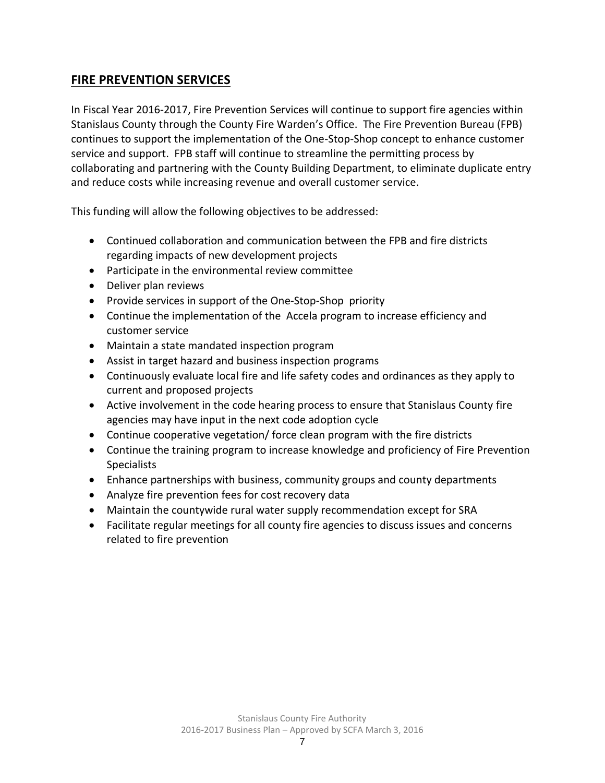## **FIRE PREVENTION SERVICES**

In Fiscal Year 2016-2017, Fire Prevention Services will continue to support fire agencies within Stanislaus County through the County Fire Warden's Office. The Fire Prevention Bureau (FPB) continues to support the implementation of the One-Stop-Shop concept to enhance customer service and support. FPB staff will continue to streamline the permitting process by collaborating and partnering with the County Building Department, to eliminate duplicate entry and reduce costs while increasing revenue and overall customer service.

This funding will allow the following objectives to be addressed:

- Continued collaboration and communication between the FPB and fire districts regarding impacts of new development projects
- Participate in the environmental review committee
- Deliver plan reviews
- Provide services in support of the One-Stop-Shop priority
- Continue the implementation of the Accela program to increase efficiency and customer service
- Maintain a state mandated inspection program
- Assist in target hazard and business inspection programs
- Continuously evaluate local fire and life safety codes and ordinances as they apply to current and proposed projects
- Active involvement in the code hearing process to ensure that Stanislaus County fire agencies may have input in the next code adoption cycle
- Continue cooperative vegetation/ force clean program with the fire districts
- Continue the training program to increase knowledge and proficiency of Fire Prevention **Specialists**
- Enhance partnerships with business, community groups and county departments
- Analyze fire prevention fees for cost recovery data
- Maintain the countywide rural water supply recommendation except for SRA
- Facilitate regular meetings for all county fire agencies to discuss issues and concerns related to fire prevention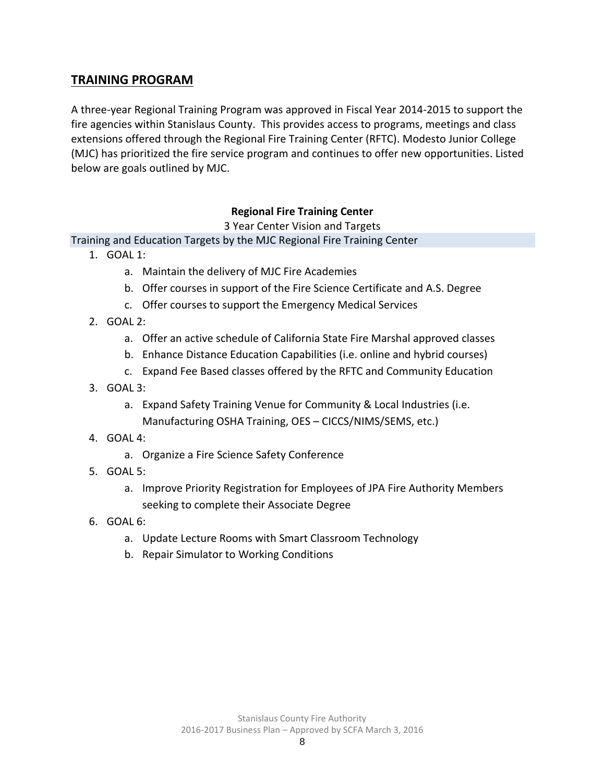### **TRAINING PROGRAM**

A three-year Regional Training Program was approved in Fiscal Year 2014-2015 to support the fire agencies within Stanislaus County. This provides access to programs, meetings and class extensions offered through the Regional Fire Training Center (RFTC). Modesto Junior College (MJC) has prioritized the fire service program and continues to offer new opportunities. Listed below are goals outlined by MJC.

#### **Regional Fire Training Center**

3 Year Center Vision and Targets

Training and Education Targets by the MJC Regional Fire Training Center

- 1. GOAL 1:
	- a. Maintain the delivery of MJC Fire Academies
	- b. Offer courses in support of the Fire Science Certificate and A.S. Degree
	- c. Offer courses to support the Emergency Medical Services
- 2. GOAL 2:
	- a. Offer an active schedule of California State Fire Marshal approved classes
	- b. Enhance Distance Education Capabilities (i.e. online and hybrid courses)
	- c. Expand Fee Based classes offered by the RFTC and Community Education
- 3. GOAL 3:
	- a. Expand Safety Training Venue for Community & Local Industries (i.e. Manufacturing OSHA Training, OES – CICCS/NIMS/SEMS, etc.)
- 4. GOAL 4:
	- a. Organize a Fire Science Safety Conference
- 5. GOAL 5:
	- a. Improve Priority Registration for Employees of JPA Fire Authority Members seeking to complete their Associate Degree
- 6. GOAL 6:
	- a. Update Lecture Rooms with Smart Classroom Technology
	- b. Repair Simulator to Working Conditions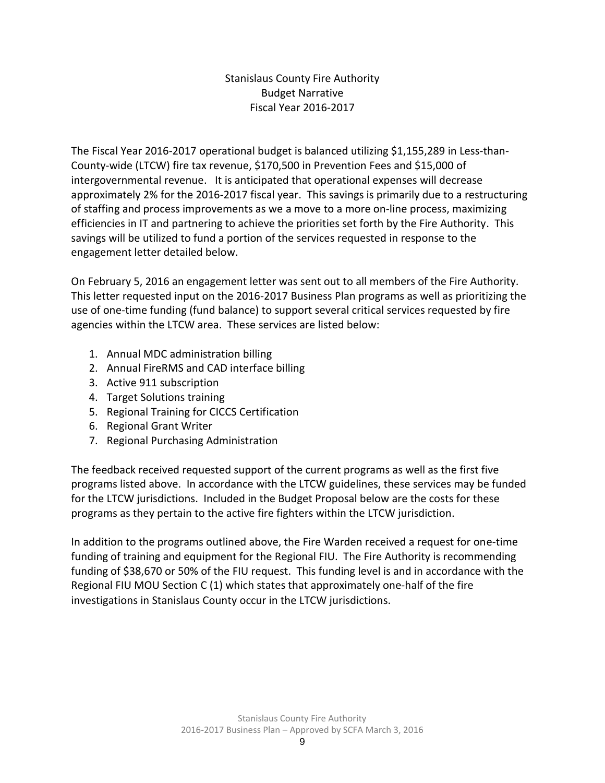Stanislaus County Fire Authority Budget Narrative Fiscal Year 2016-2017

The Fiscal Year 2016-2017 operational budget is balanced utilizing \$1,155,289 in Less-than-County-wide (LTCW) fire tax revenue, \$170,500 in Prevention Fees and \$15,000 of intergovernmental revenue. It is anticipated that operational expenses will decrease approximately 2% for the 2016-2017 fiscal year. This savings is primarily due to a restructuring of staffing and process improvements as we a move to a more on-line process, maximizing efficiencies in IT and partnering to achieve the priorities set forth by the Fire Authority. This savings will be utilized to fund a portion of the services requested in response to the engagement letter detailed below.

On February 5, 2016 an engagement letter was sent out to all members of the Fire Authority. This letter requested input on the 2016-2017 Business Plan programs as well as prioritizing the use of one-time funding (fund balance) to support several critical services requested by fire agencies within the LTCW area. These services are listed below:

- 1. Annual MDC administration billing
- 2. Annual FireRMS and CAD interface billing
- 3. Active 911 subscription
- 4. Target Solutions training
- 5. Regional Training for CICCS Certification
- 6. Regional Grant Writer
- 7. Regional Purchasing Administration

The feedback received requested support of the current programs as well as the first five programs listed above. In accordance with the LTCW guidelines, these services may be funded for the LTCW jurisdictions. Included in the Budget Proposal below are the costs for these programs as they pertain to the active fire fighters within the LTCW jurisdiction.

In addition to the programs outlined above, the Fire Warden received a request for one-time funding of training and equipment for the Regional FIU. The Fire Authority is recommending funding of \$38,670 or 50% of the FIU request. This funding level is and in accordance with the Regional FIU MOU Section C (1) which states that approximately one-half of the fire investigations in Stanislaus County occur in the LTCW jurisdictions.